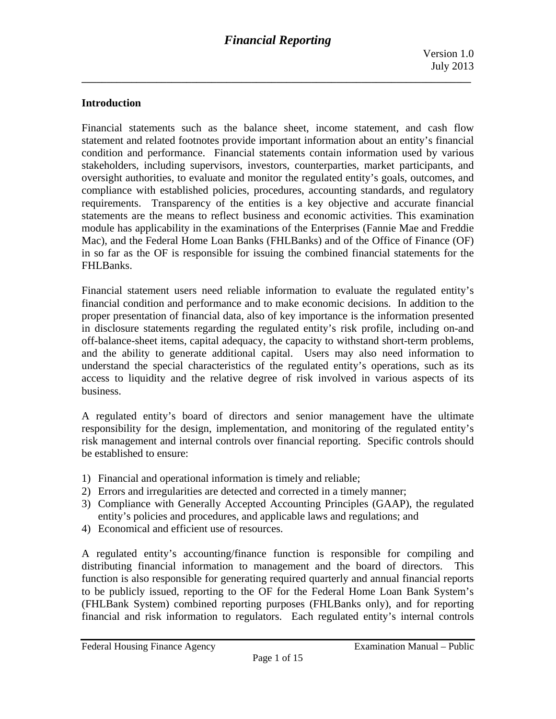### **Introduction**

Financial statements such as the balance sheet, income statement, and cash flow statement and related footnotes provide important information about an entity's financial condition and performance. Financial statements contain information used by various stakeholders, including supervisors, investors, counterparties, market participants, and oversight authorities, to evaluate and monitor the regulated entity's goals, outcomes, and compliance with established policies, procedures, accounting standards, and regulatory requirements. Transparency of the entities is a key objective and accurate financial statements are the means to reflect business and economic activities. This examination module has applicability in the examinations of the Enterprises (Fannie Mae and Freddie Mac), and the Federal Home Loan Banks (FHLBanks) and of the Office of Finance (OF) in so far as the OF is responsible for issuing the combined financial statements for the FHLBanks.

Financial statement users need reliable information to evaluate the regulated entity's financial condition and performance and to make economic decisions. In addition to the proper presentation of financial data, also of key importance is the information presented in disclosure statements regarding the regulated entity's risk profile, including on-and off-balance-sheet items, capital adequacy, the capacity to withstand short-term problems, and the ability to generate additional capital. Users may also need information to understand the special characteristics of the regulated entity's operations, such as its access to liquidity and the relative degree of risk involved in various aspects of its business.

A regulated entity's board of directors and senior management have the ultimate responsibility for the design, implementation, and monitoring of the regulated entity's risk management and internal controls over financial reporting. Specific controls should be established to ensure:

- 1) Financial and operational information is timely and reliable;
- 2) Errors and irregularities are detected and corrected in a timely manner;
- 3) Compliance with Generally Accepted Accounting Principles (GAAP), the regulated entity's policies and procedures, and applicable laws and regulations; and
- 4) Economical and efficient use of resources.

A regulated entity's accounting/finance function is responsible for compiling and distributing financial information to management and the board of directors. This function is also responsible for generating required quarterly and annual financial reports to be publicly issued, reporting to the OF for the Federal Home Loan Bank System's (FHLBank System) combined reporting purposes (FHLBanks only), and for reporting financial and risk information to regulators. Each regulated entity's internal controls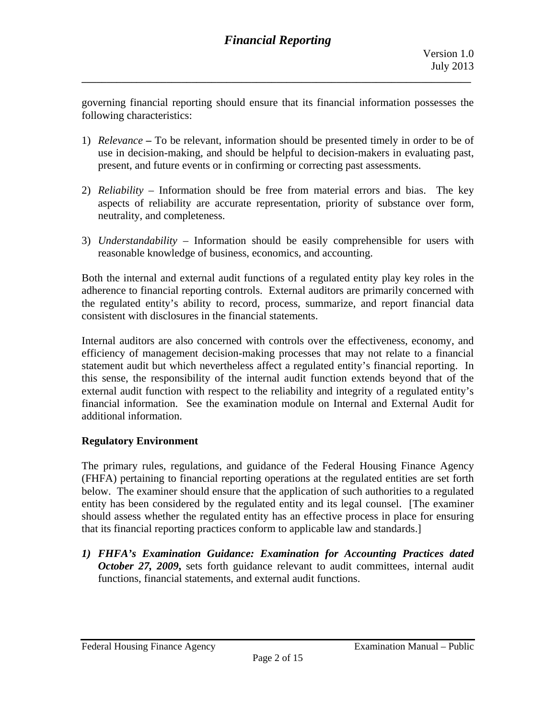governing financial reporting should ensure that its financial information possesses the following characteristics:

**\_\_\_\_\_\_\_\_\_\_\_\_\_\_\_\_\_\_\_\_\_\_\_\_\_\_\_\_\_\_\_\_\_\_\_\_\_\_\_\_\_\_\_\_\_\_\_\_\_\_\_\_\_\_\_\_\_\_\_\_\_\_\_\_\_\_\_\_\_\_\_\_\_\_\_\_\_\_** 

- 1) *Relevance* To be relevant, information should be presented timely in order to be of use in decision-making, and should be helpful to decision-makers in evaluating past, present, and future events or in confirming or correcting past assessments.
- 2) *Reliability*  Information should be free from material errors and bias. The key aspects of reliability are accurate representation, priority of substance over form, neutrality, and completeness.
- 3) *Understandability*  Information should be easily comprehensible for users with reasonable knowledge of business, economics, and accounting.

Both the internal and external audit functions of a regulated entity play key roles in the adherence to financial reporting controls. External auditors are primarily concerned with the regulated entity's ability to record, process, summarize, and report financial data consistent with disclosures in the financial statements.

Internal auditors are also concerned with controls over the effectiveness, economy, and efficiency of management decision-making processes that may not relate to a financial statement audit but which nevertheless affect a regulated entity's financial reporting. In this sense, the responsibility of the internal audit function extends beyond that of the external audit function with respect to the reliability and integrity of a regulated entity's financial information. See the examination module on Internal and External Audit for additional information.

# **Regulatory Environment**

The primary rules, regulations, and guidance of the Federal Housing Finance Agency (FHFA) pertaining to financial reporting operations at the regulated entities are set forth below. The examiner should ensure that the application of such authorities to a regulated entity has been considered by the regulated entity and its legal counsel. [The examiner should assess whether the regulated entity has an effective process in place for ensuring that its financial reporting practices conform to applicable law and standards.]

*1) FHFA's Examination Guidance: Examination for Accounting Practices dated October 27, 2009***,** sets forth guidance relevant to audit committees, internal audit functions, financial statements, and external audit functions.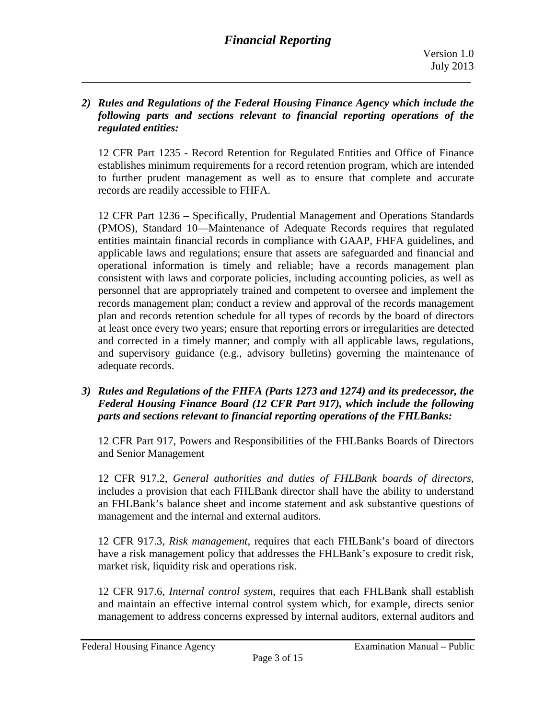#### *2) Rules and Regulations of the Federal Housing Finance Agency which include the following parts and sections relevant to financial reporting operations of the regulated entities:*

**\_\_\_\_\_\_\_\_\_\_\_\_\_\_\_\_\_\_\_\_\_\_\_\_\_\_\_\_\_\_\_\_\_\_\_\_\_\_\_\_\_\_\_\_\_\_\_\_\_\_\_\_\_\_\_\_\_\_\_\_\_\_\_\_\_\_\_\_\_\_\_\_\_\_\_\_\_\_** 

12 CFR Part 1235 **-** Record Retention for Regulated Entities and Office of Finance establishes minimum requirements for a record retention program, which are intended to further prudent management as well as to ensure that complete and accurate records are readily accessible to FHFA.

12 CFR Part 1236 *–* Specifically, Prudential Management and Operations Standards (PMOS), Standard 10—Maintenance of Adequate Records requires that regulated entities maintain financial records in compliance with GAAP, FHFA guidelines, and applicable laws and regulations; ensure that assets are safeguarded and financial and operational information is timely and reliable; have a records management plan consistent with laws and corporate policies, including accounting policies, as well as personnel that are appropriately trained and competent to oversee and implement the records management plan; conduct a review and approval of the records management plan and records retention schedule for all types of records by the board of directors at least once every two years; ensure that reporting errors or irregularities are detected and corrected in a timely manner; and comply with all applicable laws, regulations, and supervisory guidance (e.g., advisory bulletins) governing the maintenance of adequate records.

*3) Rules and Regulations of the FHFA (Parts 1273 and 1274) and its predecessor, the Federal Housing Finance Board (12 CFR Part 917), which include the following parts and sections relevant to financial reporting operations of the FHLBanks:* 

12 CFR Part 917, Powers and Responsibilities of the FHLBanks Boards of Directors and Senior Management

12 CFR 917.2, *General authorities and duties of FHLBank boards of directors*, includes a provision that each FHLBank director shall have the ability to understand an FHLBank's balance sheet and income statement and ask substantive questions of management and the internal and external auditors.

12 CFR 917.3, *Risk management*, requires that each FHLBank's board of directors have a risk management policy that addresses the FHLBank's exposure to credit risk, market risk, liquidity risk and operations risk.

12 CFR 917.6, *Internal control system*, requires that each FHLBank shall establish and maintain an effective internal control system which, for example, directs senior management to address concerns expressed by internal auditors, external auditors and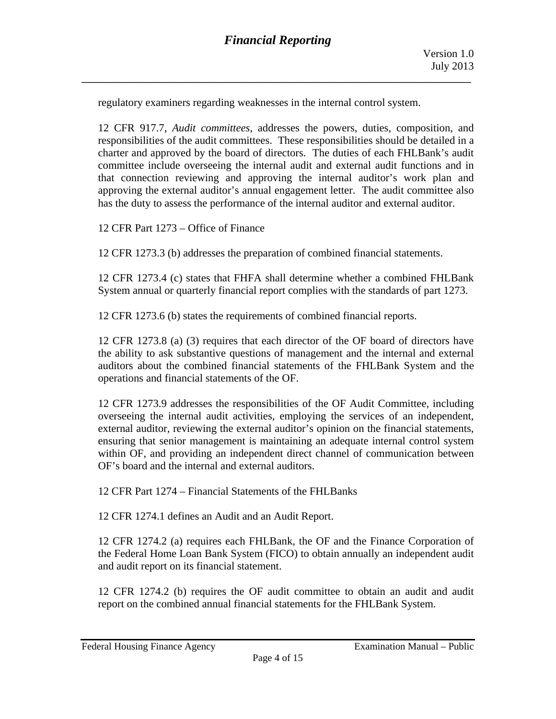regulatory examiners regarding weaknesses in the internal control system.

12 CFR 917.7, *Audit committees*, addresses the powers, duties, composition, and responsibilities of the audit committees. These responsibilities should be detailed in a charter and approved by the board of directors. The duties of each FHLBank's audit committee include overseeing the internal audit and external audit functions and in that connection reviewing and approving the internal auditor's work plan and approving the external auditor's annual engagement letter. The audit committee also has the duty to assess the performance of the internal auditor and external auditor.

12 CFR Part 1273 – Office of Finance

12 CFR 1273.3 (b) addresses the preparation of combined financial statements.

12 CFR 1273.4 (c) states that FHFA shall determine whether a combined FHLBank System annual or quarterly financial report complies with the standards of part 1273.

12 CFR 1273.6 (b) states the requirements of combined financial reports.

12 CFR 1273.8 (a) (3) requires that each director of the OF board of directors have the ability to ask substantive questions of management and the internal and external auditors about the combined financial statements of the FHLBank System and the operations and financial statements of the OF.

12 CFR 1273.9 addresses the responsibilities of the OF Audit Committee, including overseeing the internal audit activities, employing the services of an independent, external auditor, reviewing the external auditor's opinion on the financial statements, ensuring that senior management is maintaining an adequate internal control system within OF, and providing an independent direct channel of communication between OF's board and the internal and external auditors.

12 CFR Part 1274 – Financial Statements of the FHLBanks

12 CFR 1274.1 defines an Audit and an Audit Report.

12 CFR 1274.2 (a) requires each FHLBank, the OF and the Finance Corporation of the Federal Home Loan Bank System (FICO) to obtain annually an independent audit and audit report on its financial statement.

12 CFR 1274.2 (b) requires the OF audit committee to obtain an audit and audit report on the combined annual financial statements for the FHLBank System.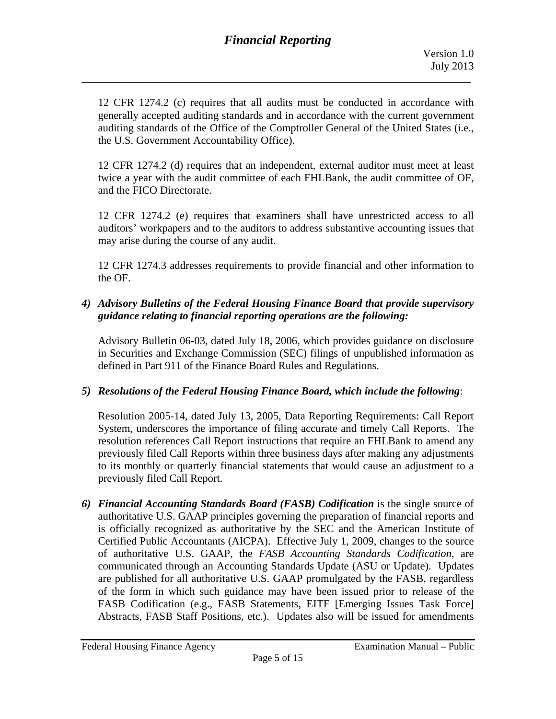12 CFR 1274.2 (c) requires that all audits must be conducted in accordance with generally accepted auditing standards and in accordance with the current government auditing standards of the Office of the Comptroller General of the United States (i.e., the U.S. Government Accountability Office).

12 CFR 1274.2 (d) requires that an independent, external auditor must meet at least twice a year with the audit committee of each FHLBank, the audit committee of OF, and the FICO Directorate.

12 CFR 1274.2 (e) requires that examiners shall have unrestricted access to all auditors' workpapers and to the auditors to address substantive accounting issues that may arise during the course of any audit.

12 CFR 1274.3 addresses requirements to provide financial and other information to the OF.

## *4) Advisory Bulletins of the Federal Housing Finance Board that provide supervisory guidance relating to financial reporting operations are the following:*

Advisory Bulletin 06-03, dated July 18, 2006, which provides guidance on disclosure in Securities and Exchange Commission (SEC) filings of unpublished information as defined in Part 911 of the Finance Board Rules and Regulations.

# *5) Resolutions of the Federal Housing Finance Board, which include the following*:

Resolution 2005-14, dated July 13, 2005, Data Reporting Requirements: Call Report System, underscores the importance of filing accurate and timely Call Reports. The resolution references Call Report instructions that require an FHLBank to amend any previously filed Call Reports within three business days after making any adjustments to its monthly or quarterly financial statements that would cause an adjustment to a previously filed Call Report.

*6) Financial Accounting Standards Board (FASB) Codification* is the single source of authoritative U.S. GAAP principles governing the preparation of financial reports and is officially recognized as authoritative by the SEC and the American Institute of Certified Public Accountants (AICPA). Effective July 1, 2009, changes to the source of authoritative U.S. GAAP, the *FASB Accounting Standards Codification*, are communicated through an Accounting Standards Update (ASU or Update). Updates are published for all authoritative U.S. GAAP promulgated by the FASB, regardless of the form in which such guidance may have been issued prior to release of the FASB Codification (e.g., FASB Statements, EITF [Emerging Issues Task Force] Abstracts, FASB Staff Positions, etc.). Updates also will be issued for amendments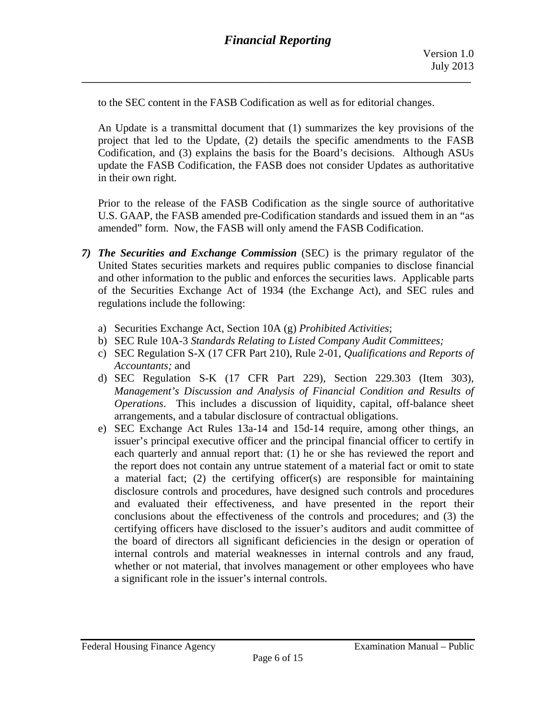to the SEC content in the FASB Codification as well as for editorial changes.

An Update is a transmittal document that (1) summarizes the key provisions of the project that led to the Update, (2) details the specific amendments to the FASB Codification, and (3) explains the basis for the Board's decisions. Although ASUs update the FASB Codification, the FASB does not consider Updates as authoritative in their own right.

Prior to the release of the FASB Codification as the single source of authoritative U.S. GAAP, the FASB amended pre-Codification standards and issued them in an "as amended" form. Now, the FASB will only amend the FASB Codification.

- *7) The Securities and Exchange Commission* (SEC) is the primary regulator of the United States securities markets and requires public companies to disclose financial and other information to the public and enforces the securities laws. Applicable parts of the Securities Exchange Act of 1934 (the Exchange Act), and SEC rules and regulations include the following:
	- a) Securities Exchange Act, Section 10A (g) *Prohibited Activities*;
	- b) SEC Rule 10A-3 *Standards Relating to Listed Company Audit Committees;*
	- c) SEC Regulation S-X (17 CFR Part 210), Rule 2-01, *Qualifications and Reports of Accountants;* and
	- d) SEC Regulation S-K (17 CFR Part 229), Section 229.303 (Item 303), *Management's Discussion and Analysis of Financial Condition and Results of Operations*. This includes a discussion of liquidity, capital, off-balance sheet arrangements, and a tabular disclosure of contractual obligations.
	- e) SEC Exchange Act Rules 13a-14 and 15d-14 require, among other things, an issuer's principal executive officer and the principal financial officer to certify in each quarterly and annual report that: (1) he or she has reviewed the report and the report does not contain any untrue statement of a material fact or omit to state a material fact; (2) the certifying officer(s) are responsible for maintaining disclosure controls and procedures, have designed such controls and procedures and evaluated their effectiveness, and have presented in the report their conclusions about the effectiveness of the controls and procedures; and (3) the certifying officers have disclosed to the issuer's auditors and audit committee of the board of directors all significant deficiencies in the design or operation of internal controls and material weaknesses in internal controls and any fraud, whether or not material, that involves management or other employees who have a significant role in the issuer's internal controls.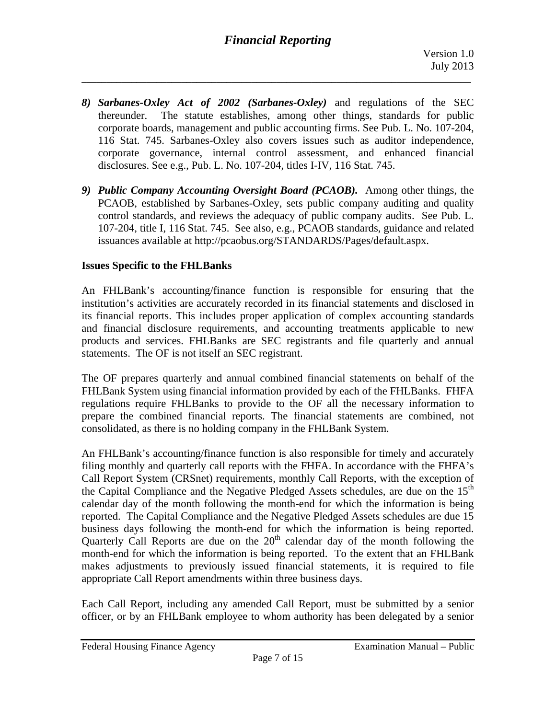# *Financial Reporting*

**\_\_\_\_\_\_\_\_\_\_\_\_\_\_\_\_\_\_\_\_\_\_\_\_\_\_\_\_\_\_\_\_\_\_\_\_\_\_\_\_\_\_\_\_\_\_\_\_\_\_\_\_\_\_\_\_\_\_\_\_\_\_\_\_\_\_\_\_\_\_\_\_\_\_\_\_\_\_** 

- *8) Sarbanes-Oxley Act of 2002 (Sarbanes-Oxley)* and regulations of the SEC thereunder. The statute establishes, among other things, standards for public corporate boards, management and public accounting firms. See Pub. L. No. 107-204, 116 Stat. 745. Sarbanes-Oxley also covers issues such as auditor independence, corporate governance, internal control assessment, and enhanced financial disclosures. See e.g., Pub. L. No. 107-204, titles I-IV, 116 Stat. 745.
- *9) Public Company Accounting Oversight Board (PCAOB).* Among other things, the PCAOB, established by Sarbanes-Oxley, sets public company auditing and quality control standards, and reviews the adequacy of public company audits. See Pub. L. 107-204, title I, 116 Stat. 745. See also, e.g., PCAOB standards, guidance and related issuances available at http://pcaobus.org/STANDARDS/Pages/default.aspx.

#### **Issues Specific to the FHLBanks**

An FHLBank's accounting/finance function is responsible for ensuring that the institution's activities are accurately recorded in its financial statements and disclosed in its financial reports. This includes proper application of complex accounting standards and financial disclosure requirements, and accounting treatments applicable to new products and services. FHLBanks are SEC registrants and file quarterly and annual statements. The OF is not itself an SEC registrant.

The OF prepares quarterly and annual combined financial statements on behalf of the FHLBank System using financial information provided by each of the FHLBanks. FHFA regulations require FHLBanks to provide to the OF all the necessary information to prepare the combined financial reports. The financial statements are combined, not consolidated, as there is no holding company in the FHLBank System.

An FHLBank's accounting/finance function is also responsible for timely and accurately filing monthly and quarterly call reports with the FHFA. In accordance with the FHFA's Call Report System (CRSnet) requirements, monthly Call Reports, with the exception of the Capital Compliance and the Negative Pledged Assets schedules, are due on the 15<sup>th</sup> calendar day of the month following the month-end for which the information is being reported. The Capital Compliance and the Negative Pledged Assets schedules are due 15 business days following the month-end for which the information is being reported. Quarterly Call Reports are due on the  $20<sup>th</sup>$  calendar day of the month following the month-end for which the information is being reported. To the extent that an FHLBank makes adjustments to previously issued financial statements, it is required to file appropriate Call Report amendments within three business days.

Each Call Report, including any amended Call Report, must be submitted by a senior officer, or by an FHLBank employee to whom authority has been delegated by a senior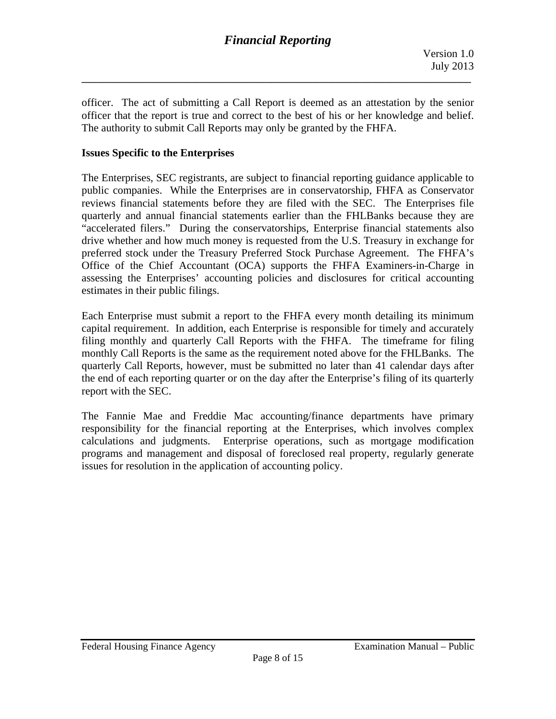officer. The act of submitting a Call Report is deemed as an attestation by the senior officer that the report is true and correct to the best of his or her knowledge and belief. The authority to submit Call Reports may only be granted by the FHFA.

**\_\_\_\_\_\_\_\_\_\_\_\_\_\_\_\_\_\_\_\_\_\_\_\_\_\_\_\_\_\_\_\_\_\_\_\_\_\_\_\_\_\_\_\_\_\_\_\_\_\_\_\_\_\_\_\_\_\_\_\_\_\_\_\_\_\_\_\_\_\_\_\_\_\_\_\_\_\_** 

#### **Issues Specific to the Enterprises**

The Enterprises, SEC registrants, are subject to financial reporting guidance applicable to public companies. While the Enterprises are in conservatorship, FHFA as Conservator reviews financial statements before they are filed with the SEC. The Enterprises file quarterly and annual financial statements earlier than the FHLBanks because they are "accelerated filers." During the conservatorships, Enterprise financial statements also drive whether and how much money is requested from the U.S. Treasury in exchange for preferred stock under the Treasury Preferred Stock Purchase Agreement. The FHFA's Office of the Chief Accountant (OCA) supports the FHFA Examiners-in-Charge in assessing the Enterprises' accounting policies and disclosures for critical accounting estimates in their public filings.

Each Enterprise must submit a report to the FHFA every month detailing its minimum capital requirement. In addition, each Enterprise is responsible for timely and accurately filing monthly and quarterly Call Reports with the FHFA. The timeframe for filing monthly Call Reports is the same as the requirement noted above for the FHLBanks. The quarterly Call Reports, however, must be submitted no later than 41 calendar days after the end of each reporting quarter or on the day after the Enterprise's filing of its quarterly report with the SEC.

The Fannie Mae and Freddie Mac accounting/finance departments have primary responsibility for the financial reporting at the Enterprises, which involves complex calculations and judgments. Enterprise operations, such as mortgage modification programs and management and disposal of foreclosed real property, regularly generate issues for resolution in the application of accounting policy.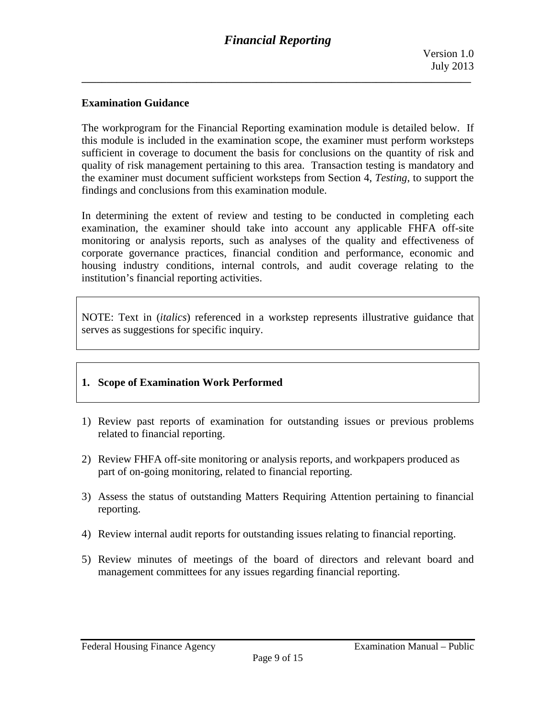### **Examination Guidance**

The workprogram for the Financial Reporting examination module is detailed below. If this module is included in the examination scope, the examiner must perform worksteps sufficient in coverage to document the basis for conclusions on the quantity of risk and quality of risk management pertaining to this area. Transaction testing is mandatory and the examiner must document sufficient worksteps from Section 4, *Testing*, to support the findings and conclusions from this examination module.

In determining the extent of review and testing to be conducted in completing each examination, the examiner should take into account any applicable FHFA off-site monitoring or analysis reports, such as analyses of the quality and effectiveness of corporate governance practices, financial condition and performance, economic and housing industry conditions, internal controls, and audit coverage relating to the institution's financial reporting activities.

NOTE: Text in (*italics*) referenced in a workstep represents illustrative guidance that serves as suggestions for specific inquiry.

#### **1. Scope of Examination Work Performed**

- 1) Review past reports of examination for outstanding issues or previous problems related to financial reporting.
- 2) Review FHFA off-site monitoring or analysis reports, and workpapers produced as part of on-going monitoring, related to financial reporting.
- 3) Assess the status of outstanding Matters Requiring Attention pertaining to financial reporting.
- 4) Review internal audit reports for outstanding issues relating to financial reporting.
- 5) Review minutes of meetings of the board of directors and relevant board and management committees for any issues regarding financial reporting.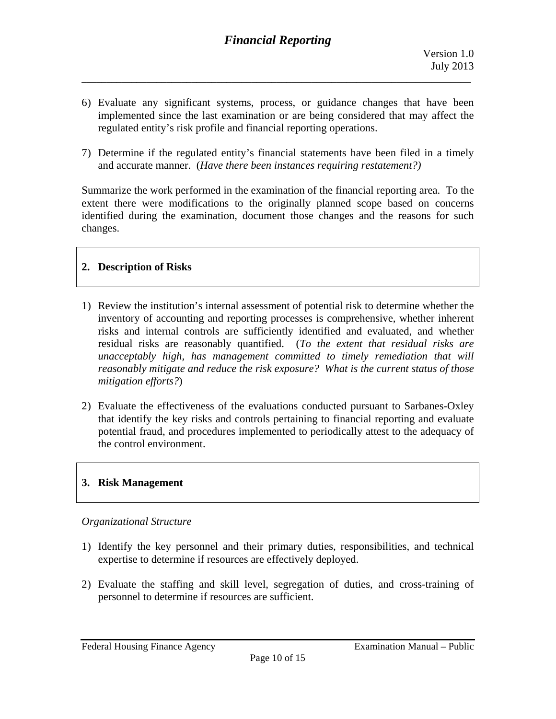6) Evaluate any significant systems, process, or guidance changes that have been implemented since the last examination or are being considered that may affect the regulated entity's risk profile and financial reporting operations.

**\_\_\_\_\_\_\_\_\_\_\_\_\_\_\_\_\_\_\_\_\_\_\_\_\_\_\_\_\_\_\_\_\_\_\_\_\_\_\_\_\_\_\_\_\_\_\_\_\_\_\_\_\_\_\_\_\_\_\_\_\_\_\_\_\_\_\_\_\_\_\_\_\_\_\_\_\_\_** 

 and accurate manner. (*Have there been instances requiring restatement?)* 7) Determine if the regulated entity's financial statements have been filed in a timely

Summarize the work performed in the examination of the financial reporting area. To the extent there were modifications to the originally planned scope based on concerns identified during the examination, document those changes and the reasons for such changes.

# **2. Description of Risks**

- 1) Review the institution's internal assessment of potential risk to determine whether the inventory of accounting and reporting processes is comprehensive, whether inherent risks and internal controls are sufficiently identified and evaluated, and whether residual risks are reasonably quantified. (*To the extent that residual risks are unacceptably high, has management committed to timely remediation that will reasonably mitigate and reduce the risk exposure? What is the current status of those mitigation efforts?*)
- 2) Evaluate the effectiveness of the evaluations conducted pursuant to Sarbanes-Oxley that identify the key risks and controls pertaining to financial reporting and evaluate potential fraud, and procedures implemented to periodically attest to the adequacy of the control environment.

# **3. Risk Management**

#### *Organizational Structure*

- 1) Identify the key personnel and their primary duties, responsibilities, and technical expertise to determine if resources are effectively deployed.
- 2) Evaluate the staffing and skill level, segregation of duties, and cross-training of personnel to determine if resources are sufficient.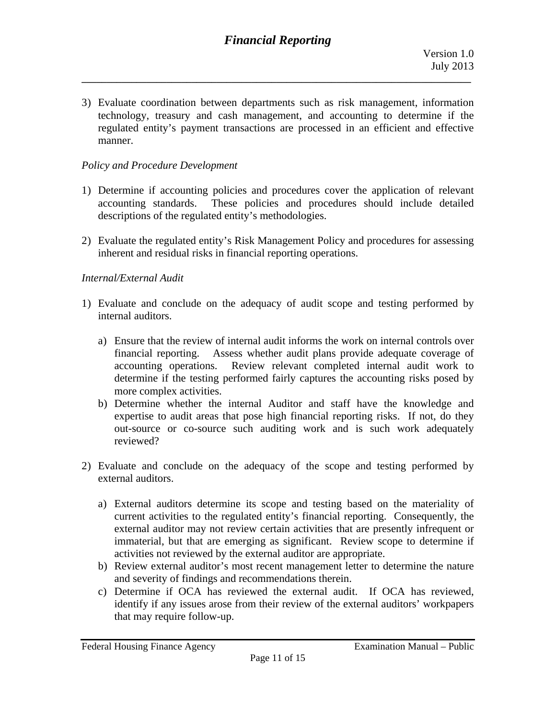3) Evaluate coordination between departments such as risk management, information technology, treasury and cash management, and accounting to determine if the regulated entity's payment transactions are processed in an efficient and effective manner.

#### *Policy and Procedure Development*

- 1) Determine if accounting policies and procedures cover the application of relevant accounting standards. These policies and procedures should include detailed descriptions of the regulated entity's methodologies.
- 2) Evaluate the regulated entity's Risk Management Policy and procedures for assessing inherent and residual risks in financial reporting operations.

#### *Internal/External Audit*

- 1) Evaluate and conclude on the adequacy of audit scope and testing performed by internal auditors.
	- a) Ensure that the review of internal audit informs the work on internal controls over financial reporting. Assess whether audit plans provide adequate coverage of accounting operations. Review relevant completed internal audit work to determine if the testing performed fairly captures the accounting risks posed by more complex activities.
	- b) Determine whether the internal Auditor and staff have the knowledge and expertise to audit areas that pose high financial reporting risks. If not, do they out-source or co-source such auditing work and is such work adequately reviewed?
- 2) Evaluate and conclude on the adequacy of the scope and testing performed by external auditors.
	- a) External auditors determine its scope and testing based on the materiality of current activities to the regulated entity's financial reporting. Consequently, the external auditor may not review certain activities that are presently infrequent or immaterial, but that are emerging as significant. Review scope to determine if activities not reviewed by the external auditor are appropriate.
	- b) Review external auditor's most recent management letter to determine the nature and severity of findings and recommendations therein.
	- c) Determine if OCA has reviewed the external audit. If OCA has reviewed, identify if any issues arose from their review of the external auditors' workpapers that may require follow-up.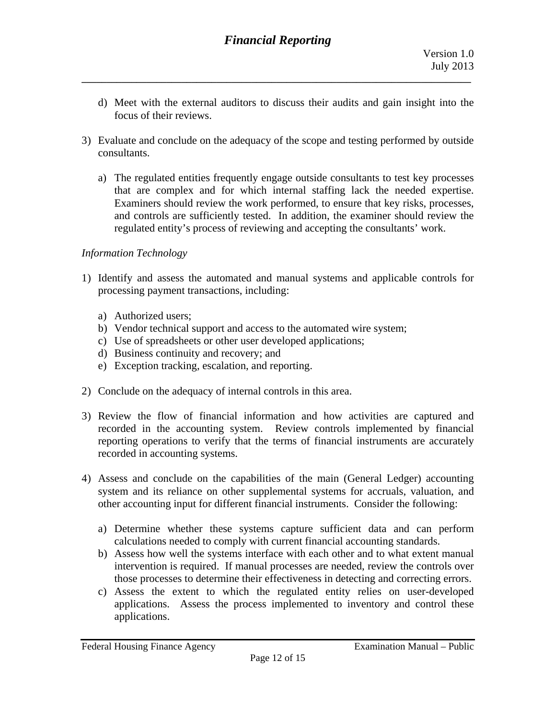- d) Meet with the external auditors to discuss their audits and gain insight into the focus of their reviews.
- 3) Evaluate and conclude on the adequacy of the scope and testing performed by outside consultants.
	- a) The regulated entities frequently engage outside consultants to test key processes that are complex and for which internal staffing lack the needed expertise. Examiners should review the work performed, to ensure that key risks, processes, and controls are sufficiently tested. In addition, the examiner should review the regulated entity's process of reviewing and accepting the consultants' work.

### *Information Technology*

- 1) Identify and assess the automated and manual systems and applicable controls for processing payment transactions, including:
	- a) Authorized users;
	- b) Vendor technical support and access to the automated wire system;
	- c) Use of spreadsheets or other user developed applications;
	- d) Business continuity and recovery; and
	- e) Exception tracking, escalation, and reporting.
- 2) Conclude on the adequacy of internal controls in this area.
- 3) Review the flow of financial information and how activities are captured and recorded in the accounting system. Review controls implemented by financial reporting operations to verify that the terms of financial instruments are accurately recorded in accounting systems.
- 4) Assess and conclude on the capabilities of the main (General Ledger) accounting system and its reliance on other supplemental systems for accruals, valuation, and other accounting input for different financial instruments. Consider the following:
	- a) Determine whether these systems capture sufficient data and can perform calculations needed to comply with current financial accounting standards.
	- b) Assess how well the systems interface with each other and to what extent manual intervention is required. If manual processes are needed, review the controls over those processes to determine their effectiveness in detecting and correcting errors.
	- c) Assess the extent to which the regulated entity relies on user-developed applications. Assess the process implemented to inventory and control these applications.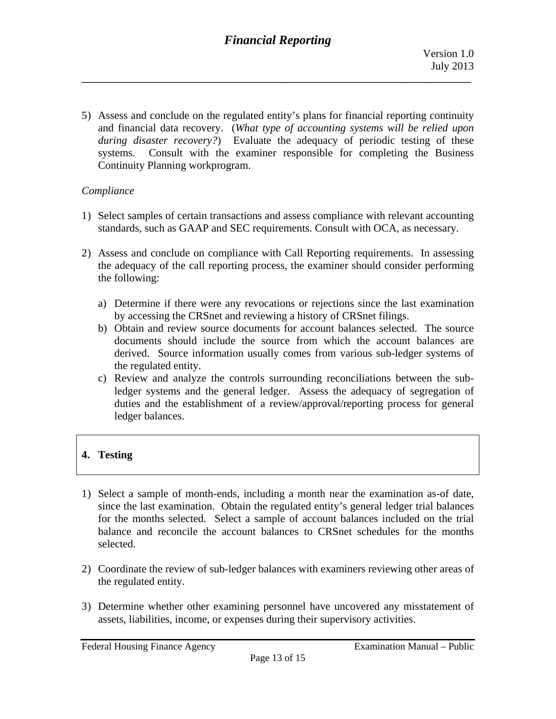5) Assess and conclude on the regulated entity's plans for financial reporting continuity and financial data recovery. (*What type of accounting systems will be relied upon during disaster recovery?*) Evaluate the adequacy of periodic testing of these systems. Consult with the examiner responsible for completing the Business Continuity Planning workprogram.

### *Compliance*

- 1) Select samples of certain transactions and assess compliance with relevant accounting standards, such as GAAP and SEC requirements. Consult with OCA, as necessary.
- 2) Assess and conclude on compliance with Call Reporting requirements. In assessing the adequacy of the call reporting process, the examiner should consider performing the following:
	- a) Determine if there were any revocations or rejections since the last examination by accessing the CRSnet and reviewing a history of CRSnet filings.
	- b) Obtain and review source documents for account balances selected. The source documents should include the source from which the account balances are derived. Source information usually comes from various sub-ledger systems of the regulated entity.
	- c) Review and analyze the controls surrounding reconciliations between the subledger systems and the general ledger. Assess the adequacy of segregation of duties and the establishment of a review/approval/reporting process for general ledger balances.

# **4. Testing**

- 1) Select a sample of month-ends, including a month near the examination as-of date, since the last examination. Obtain the regulated entity's general ledger trial balances for the months selected. Select a sample of account balances included on the trial balance and reconcile the account balances to CRSnet schedules for the months selected.
- 2) Coordinate the review of sub-ledger balances with examiners reviewing other areas of the regulated entity.
- 3) Determine whether other examining personnel have uncovered any misstatement of assets, liabilities, income, or expenses during their supervisory activities.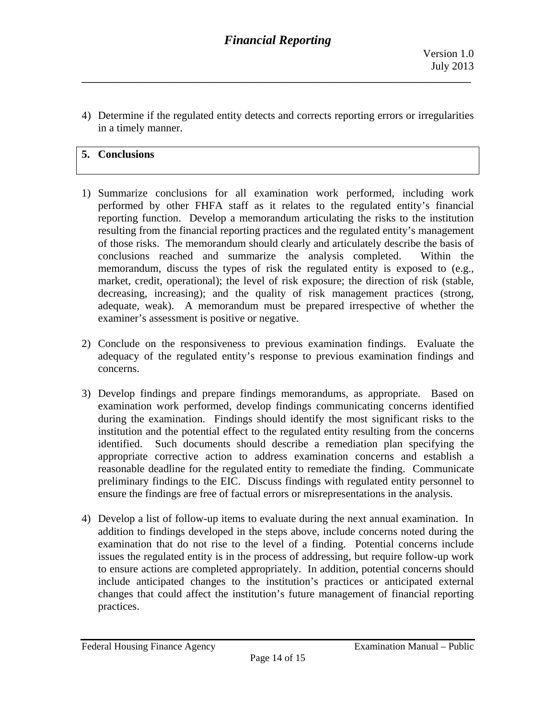4) Determine if the regulated entity detects and corrects reporting errors or irregularities in a timely manner.

## **5. Conclusions**

- 1) Summarize conclusions for all examination work performed, including work performed by other FHFA staff as it relates to the regulated entity's financial reporting function. Develop a memorandum articulating the risks to the institution resulting from the financial reporting practices and the regulated entity's management of those risks. The memorandum should clearly and articulately describe the basis of conclusions reached and summarize the analysis completed. Within the memorandum, discuss the types of risk the regulated entity is exposed to (e.g., market, credit, operational); the level of risk exposure; the direction of risk (stable, decreasing, increasing); and the quality of risk management practices (strong, adequate, weak). A memorandum must be prepared irrespective of whether the examiner's assessment is positive or negative.
- 2) Conclude on the responsiveness to previous examination findings. Evaluate the adequacy of the regulated entity's response to previous examination findings and concerns.
- 3) Develop findings and prepare findings memorandums, as appropriate. Based on examination work performed, develop findings communicating concerns identified during the examination. Findings should identify the most significant risks to the institution and the potential effect to the regulated entity resulting from the concerns identified. Such documents should describe a remediation plan specifying the appropriate corrective action to address examination concerns and establish a reasonable deadline for the regulated entity to remediate the finding. Communicate preliminary findings to the EIC. Discuss findings with regulated entity personnel to ensure the findings are free of factual errors or misrepresentations in the analysis.
- 4) Develop a list of follow-up items to evaluate during the next annual examination. In addition to findings developed in the steps above, include concerns noted during the examination that do not rise to the level of a finding. Potential concerns include issues the regulated entity is in the process of addressing, but require follow-up work to ensure actions are completed appropriately. In addition, potential concerns should include anticipated changes to the institution's practices or anticipated external changes that could affect the institution's future management of financial reporting practices.